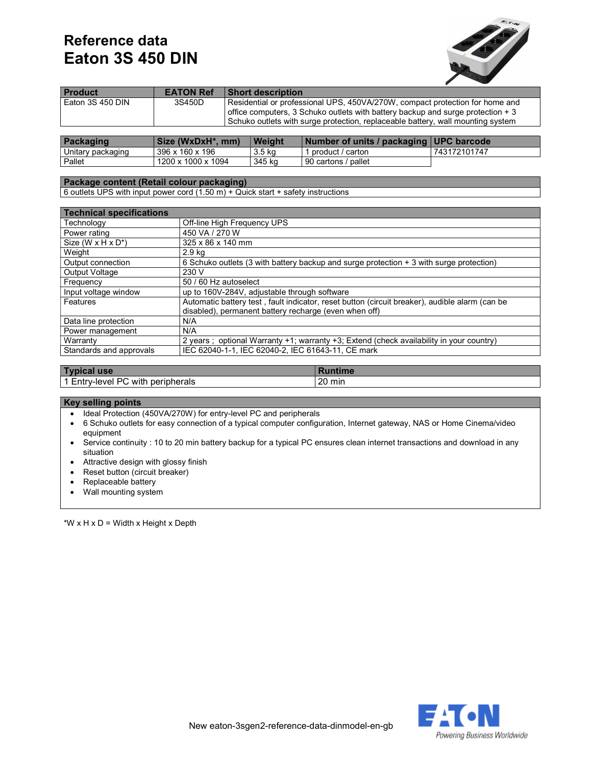# Reference data Eaton 3S 450 DIN



| <b>Product</b>   | <b>EATON Ref</b> | <b>Short description</b>                                                                                                                                                                                                                            |
|------------------|------------------|-----------------------------------------------------------------------------------------------------------------------------------------------------------------------------------------------------------------------------------------------------|
| Eaton 3S 450 DIN | 3S450D           | Residential or professional UPS, 450VA/270W, compact protection for home and<br>office computers, 3 Schuko outlets with battery backup and surge protection $+3$<br>Schuko outlets with surge protection, replaceable battery, wall mounting system |
|                  |                  |                                                                                                                                                                                                                                                     |

| Packaging         | Size (WxDxH*, mm)  | Weight | Number of units / packaging UPC barcode |              |
|-------------------|--------------------|--------|-----------------------------------------|--------------|
| Unitary packaging | 396 x 160 x 196    | 3.5 kg | product / carton                        | 743172101747 |
| Pallet            | 1200 x 1000 x 1094 | 345 ka | 90 cartons / pallet                     |              |

### Package content (Retail colour packaging)

 $\sqrt{6}$  outlets UPS with input power cord (1.50 m) + Quick start + safety instructions

| <b>Technical specifications</b>              |                                                                                                |
|----------------------------------------------|------------------------------------------------------------------------------------------------|
| Technology                                   | Off-line High Frequency UPS                                                                    |
| Power rating                                 | 450 VA / 270 W                                                                                 |
| Size (W $\times$ H $\times$ D <sup>*</sup> ) | 325 x 86 x 140 mm                                                                              |
| Weight                                       | 2.9 kg                                                                                         |
| Output connection                            | 6 Schuko outlets (3 with battery backup and surge protection + 3 with surge protection)        |
| <b>Output Voltage</b>                        | 230 V                                                                                          |
| Frequency                                    | 50 / 60 Hz autoselect                                                                          |
| Input voltage window                         | up to 160V-284V, adjustable through software                                                   |
| Features                                     | Automatic battery test, fault indicator, reset button (circuit breaker), audible alarm (can be |
|                                              | disabled), permanent battery recharge (even when off)                                          |
| Data line protection                         | N/A                                                                                            |
| Power management                             | N/A                                                                                            |
| Warranty                                     | 2 years; optional Warranty +1; warranty +3; Extend (check availability in your country)        |
| Standards and approvals                      | IEC 62040-1-1, IEC 62040-2, IEC 61643-11, CE mark                                              |

| Typ<br><b>use</b>                                                                  |                 |
|------------------------------------------------------------------------------------|-----------------|
| $\bullet$ $\bullet$ $\bullet$<br>PС<br>with<br>peripherals<br>"v-level"<br>– ∟ntrv | ററ<br>min<br>∠∪ |

#### Key selling points

- Ideal Protection (450VA/270W) for entry-level PC and peripherals
- 6 Schuko outlets for easy connection of a typical computer configuration, Internet gateway, NAS or Home Cinema/video equipment
- Service continuity : 10 to 20 min battery backup for a typical PC ensures clean internet transactions and download in any situation
- Attractive design with glossy finish
- Reset button (circuit breaker)
- Replaceable battery
- Wall mounting system

\*W  $\times$  H  $\times$  D = Width  $\times$  Height  $\times$  Depth

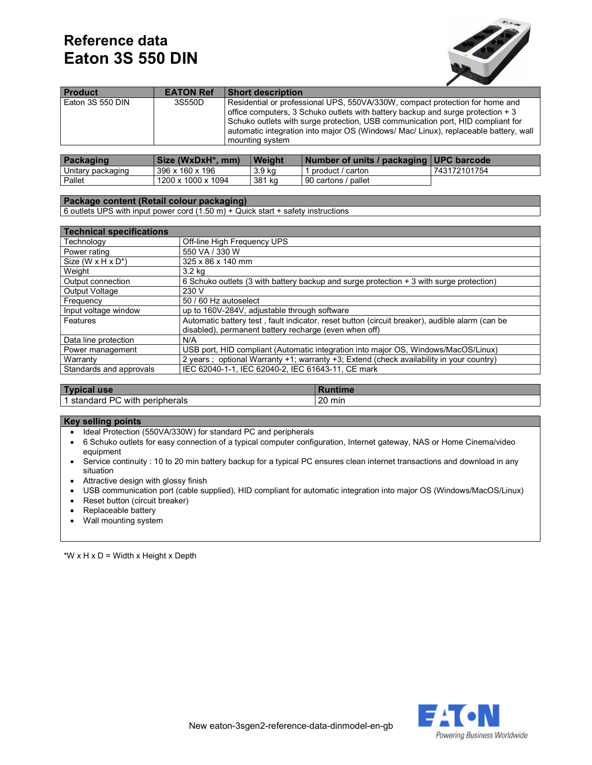# Reference data Eaton 3S 550 DIN



| Eaton 3S 550 DIN<br>Residential or professional UPS, 550VA/330W, compact protection for home and<br>3S550D<br>office computers, 3 Schuko outlets with battery backup and surge protection $+3$ |  |
|------------------------------------------------------------------------------------------------------------------------------------------------------------------------------------------------|--|
| Schuko outlets with surge protection, USB communication port, HID compliant for<br>automatic integration into major OS (Windows/ Mac/ Linux), replaceable battery, wall<br>mounting system     |  |

| Packaging         | Size (WxDxH*, mm)  | Weight | Number of units / packaging   UPC barcode |              |
|-------------------|--------------------|--------|-------------------------------------------|--------------|
| Unitary packaging | 396 x 160 x 196    | 3.9 ka | product / carton                          | 743172101754 |
| Pallet            | 1200 x 1000 x 1094 | 381 kg | 90 cartons / pallet                       |              |

### Package content (Retail colour packaging)

6 outlets UPS with input power cord (1.50 m) + Quick start + safety instructions

| <b>Technical specifications</b>    |                                                                                                |
|------------------------------------|------------------------------------------------------------------------------------------------|
| Technoloav                         | Off-line High Frequency UPS                                                                    |
| Power rating                       | 550 VA / 330 W                                                                                 |
| Size (W $x$ H $x$ D <sup>*</sup> ) | 325 x 86 x 140 mm                                                                              |
| Weight                             | 3.2 kg                                                                                         |
| Output connection                  | 6 Schuko outlets (3 with battery backup and surge protection + 3 with surge protection)        |
| <b>Output Voltage</b>              | 230 V                                                                                          |
| Frequency                          | 50 / 60 Hz autoselect                                                                          |
| Input voltage window               | up to 160V-284V, adjustable through software                                                   |
| Features                           | Automatic battery test, fault indicator, reset button (circuit breaker), audible alarm (can be |
|                                    | disabled), permanent battery recharge (even when off)                                          |
| Data line protection               | N/A                                                                                            |
| Power management                   | USB port, HID compliant (Automatic integration into major OS, Windows/MacOS/Linux)             |
| Warranty                           | 2 years : optional Warranty +1; warranty +3; Extend (check availability in your country)       |
| Standards and approvals            | IEC 62040-1-1, IEC 62040-2, IEC 61643-11, CE mark                                              |

| $ $ Typ<br>pical use                             |                 |
|--------------------------------------------------|-----------------|
| <b>PC</b><br><br>with<br>standard<br>peripherals | ററ<br>min<br>∠∪ |

### Key selling points

- Ideal Protection (550VA/330W) for standard PC and peripherals
- 6 Schuko outlets for easy connection of a typical computer configuration, Internet gateway, NAS or Home Cinema/video equipment
- Service continuity : 10 to 20 min battery backup for a typical PC ensures clean internet transactions and download in any situation
- Attractive design with glossy finish
- USB communication port (cable supplied), HID compliant for automatic integration into major OS (Windows/MacOS/Linux)
- Reset button (circuit breaker)
- Replaceable battery
- Wall mounting system

\*W  $\times$  H  $\times$  D = Width  $\times$  Height  $\times$  Depth

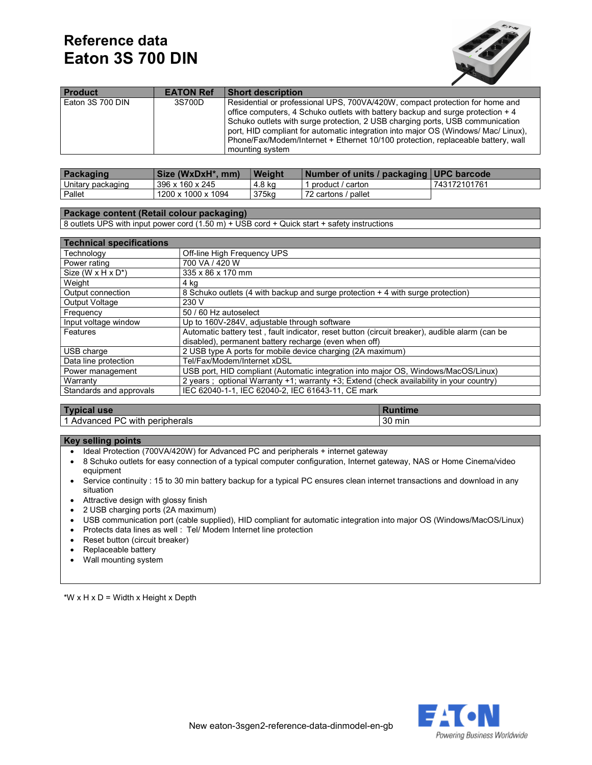# Reference data Eaton 3S 700 DIN



| <b>Product</b>   | <b>EATON Ref</b> | <b>Short description</b>                                                                                                                                                                                                                                                                                                                                                                                                                       |
|------------------|------------------|------------------------------------------------------------------------------------------------------------------------------------------------------------------------------------------------------------------------------------------------------------------------------------------------------------------------------------------------------------------------------------------------------------------------------------------------|
| Eaton 3S 700 DIN | 3S700D           | Residential or professional UPS, 700VA/420W, compact protection for home and<br>office computers, 4 Schuko outlets with battery backup and surge protection $+4$<br>Schuko outlets with surge protection, 2 USB charging ports, USB communication<br>port, HID compliant for automatic integration into major OS (Windows/ Mac/ Linux),<br>Phone/Fax/Modem/Internet + Ethernet 10/100 protection, replaceable battery, wall<br>mounting system |

| Packaging         | Size (WxDxH*, mm)  | Weight | Number of units / packaging   UPC barcode |              |
|-------------------|--------------------|--------|-------------------------------------------|--------------|
| Unitary packaging | 396 x 160 x 245    | 4.8 ka | product / carton                          | 743172101761 |
| Pallet            | 1200 x 1000 x 1094 | 375kg  | 72 cartons / pallet                       |              |

### Package content (Retail colour packaging)

8 outlets UPS with input power cord (1.50 m) + USB cord + Quick start + safety instructions

| <b>Technical specifications</b>    |                                                                                                |
|------------------------------------|------------------------------------------------------------------------------------------------|
| Technology                         | Off-line High Frequency UPS                                                                    |
| Power rating                       | 700 VA / 420 W                                                                                 |
| Size (W $x$ H $x$ D <sup>*</sup> ) | 335 x 86 x 170 mm                                                                              |
| Weight                             | 4 kg                                                                                           |
| Output connection                  | 8 Schuko outlets (4 with backup and surge protection + 4 with surge protection)                |
| <b>Output Voltage</b>              | 230 V                                                                                          |
| Frequency                          | 50 / 60 Hz autoselect                                                                          |
| Input voltage window               | Up to 160V-284V, adjustable through software                                                   |
| Features                           | Automatic battery test, fault indicator, reset button (circuit breaker), audible alarm (can be |
|                                    | disabled), permanent battery recharge (even when off)                                          |
| USB charge                         | 2 USB type A ports for mobile device charging (2A maximum)                                     |
| Data line protection               | Tel/Fax/Modem/Internet xDSL                                                                    |
| Power management                   | USB port, HID compliant (Automatic integration into major OS, Windows/MacOS/Linux)             |
| Warranty                           | 2 years; optional Warranty +1; warranty +3; Extend (check availability in your country)        |
| Standards and approvals            | IEC 62040-1-1, IEC 62040-2, IEC 61643-11, CE mark                                              |
|                                    |                                                                                                |

| Typi<br>cal use                         |                  |
|-----------------------------------------|------------------|
| Advanced PC<br>.<br>peripherals<br>with | $\sim$<br>30 min |

#### Key selling points

- Ideal Protection (700VA/420W) for Advanced PC and peripherals + internet gateway
- 8 Schuko outlets for easy connection of a typical computer configuration, Internet gateway, NAS or Home Cinema/video equipment
- Service continuity : 15 to 30 min battery backup for a typical PC ensures clean internet transactions and download in any situation
- Attractive design with glossy finish
- 2 USB charging ports (2A maximum)
- USB communication port (cable supplied), HID compliant for automatic integration into major OS (Windows/MacOS/Linux)
- Protects data lines as well : Tel/ Modem Internet line protection
- Reset button (circuit breaker)
- Replaceable battery
- Wall mounting system

\*W x H x D = Width x Height x Depth